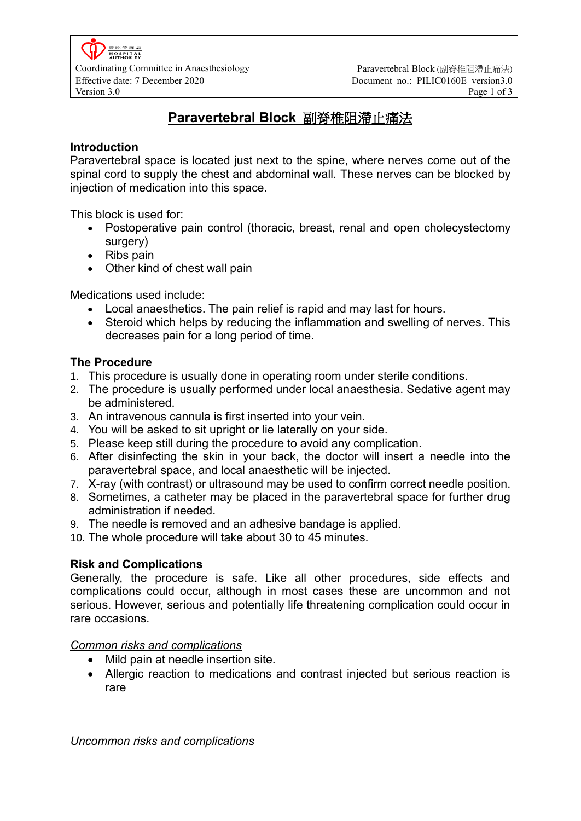# **Paravertebral Block** 副脊椎阻滯止痛法

#### **Introduction**

Paravertebral space is located just next to the spine, where nerves come out of the spinal cord to supply the chest and abdominal wall. These nerves can be blocked by injection of medication into this space.

This block is used for:

- Postoperative pain control (thoracic, breast, renal and open cholecystectomy surgery)
- Ribs pain
- Other kind of chest wall pain

Medications used include:

- Local anaesthetics. The pain relief is rapid and may last for hours.
- Steroid which helps by reducing the inflammation and swelling of nerves. This decreases pain for a long period of time.

#### **The Procedure**

- 1. This procedure is usually done in operating room under sterile conditions.
- 2. The procedure is usually performed under local anaesthesia. Sedative agent may be administered.
- 3. An intravenous cannula is first inserted into your vein.
- 4. You will be asked to sit upright or lie laterally on your side.
- 5. Please keep still during the procedure to avoid any complication.
- 6. After disinfecting the skin in your back, the doctor will insert a needle into the paravertebral space, and local anaesthetic will be injected.
- 7. X-ray (with contrast) or ultrasound may be used to confirm correct needle position.
- 8. Sometimes, a catheter may be placed in the paravertebral space for further drug administration if needed.
- 9. The needle is removed and an adhesive bandage is applied.
- 10. The whole procedure will take about 30 to 45 minutes.

#### **Risk and Complications**

Generally, the procedure is safe. Like all other procedures, side effects and complications could occur, although in most cases these are uncommon and not serious. However, serious and potentially life threatening complication could occur in rare occasions.

#### *Common risks and complications*

- Mild pain at needle insertion site.
- Allergic reaction to medications and contrast injected but serious reaction is rare

*Uncommon risks and complications*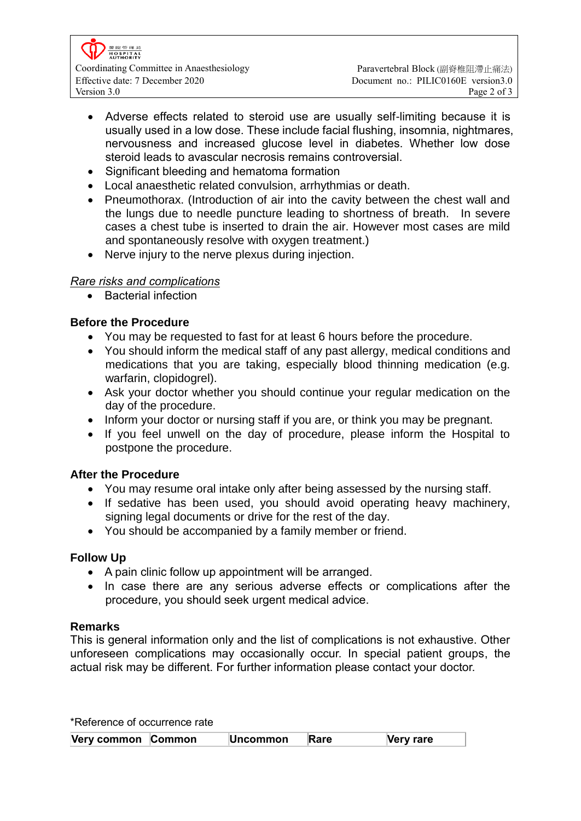

- Adverse effects related to steroid use are usually self-limiting because it is usually used in a low dose. These include facial flushing, insomnia, nightmares, nervousness and increased glucose level in diabetes. Whether low dose steroid leads to avascular necrosis remains controversial.
- Significant bleeding and hematoma formation
- Local anaesthetic related convulsion, arrhythmias or death.
- Pneumothorax. (Introduction of air into the cavity between the chest wall and the lungs due to needle puncture leading to shortness of breath. In severe cases a chest tube is inserted to drain the air. However most cases are mild and spontaneously resolve with oxygen treatment.)
- Nerve injury to the nerve plexus during injection.

#### *Rare risks and complications*

• Bacterial infection

### **Before the Procedure**

- You may be requested to fast for at least 6 hours before the procedure.
- You should inform the medical staff of any past allergy, medical conditions and medications that you are taking, especially blood thinning medication (e.g. warfarin, clopidogrel).
- Ask your doctor whether you should continue your regular medication on the day of the procedure.
- Inform your doctor or nursing staff if you are, or think you may be pregnant.
- If you feel unwell on the day of procedure, please inform the Hospital to postpone the procedure.

## **After the Procedure**

- You may resume oral intake only after being assessed by the nursing staff.
- If sedative has been used, you should avoid operating heavy machinery, signing legal documents or drive for the rest of the day.
- You should be accompanied by a family member or friend.

#### **Follow Up**

- A pain clinic follow up appointment will be arranged.
- In case there are any serious adverse effects or complications after the procedure, you should seek urgent medical advice.

#### **Remarks**

This is general information only and the list of complications is not exhaustive. Other unforeseen complications may occasionally occur. In special patient groups, the actual risk may be different. For further information please contact your doctor.

| *Reference of occurrence rate |  |                 |      |           |  |  |
|-------------------------------|--|-----------------|------|-----------|--|--|
| Very common Common            |  | <b>Uncommon</b> | Rare | Very rare |  |  |